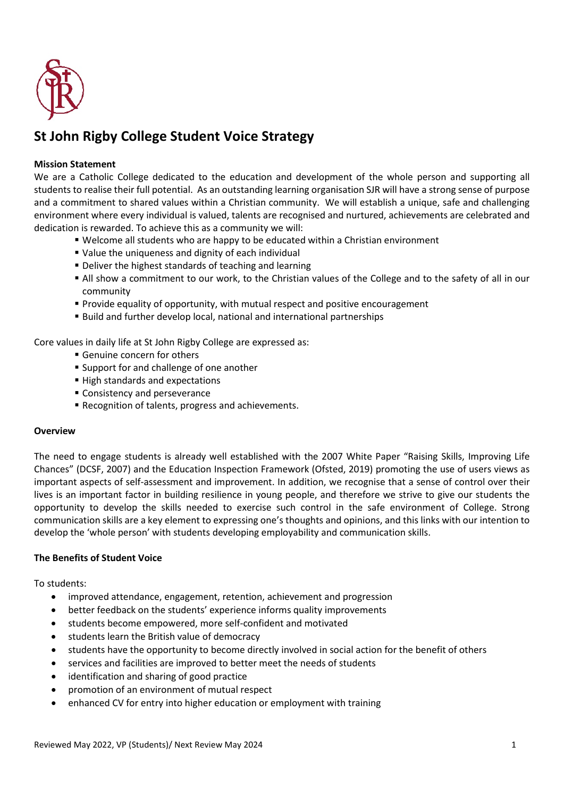

# **St John Rigby College Student Voice Strategy**

## **Mission Statement**

We are a Catholic College dedicated to the education and development of the whole person and supporting all students to realise their full potential. As an outstanding learning organisation SJR will have a strong sense of purpose and a commitment to shared values within a Christian community. We will establish a unique, safe and challenging environment where every individual is valued, talents are recognised and nurtured, achievements are celebrated and dedication is rewarded. To achieve this as a community we will:

- Welcome all students who are happy to be educated within a Christian environment
- Value the uniqueness and dignity of each individual
- Deliver the highest standards of teaching and learning
- All show a commitment to our work, to the Christian values of the College and to the safety of all in our community
- **Provide equality of opportunity, with mutual respect and positive encouragement**
- Build and further develop local, national and international partnerships

Core values in daily life at St John Rigby College are expressed as:

- Genuine concern for others
- **Support for and challenge of one another**
- High standards and expectations
- Consistency and perseverance
- Recognition of talents, progress and achievements.

### **Overview**

The need to engage students is already well established with the 2007 White Paper "Raising Skills, Improving Life Chances" (DCSF, 2007) and the Education Inspection Framework (Ofsted, 2019) promoting the use of users views as important aspects of self-assessment and improvement. In addition, we recognise that a sense of control over their lives is an important factor in building resilience in young people, and therefore we strive to give our students the opportunity to develop the skills needed to exercise such control in the safe environment of College. Strong communication skills are a key element to expressing one's thoughts and opinions, and this links with our intention to develop the 'whole person' with students developing employability and communication skills.

#### **The Benefits of Student Voice**

To students:

- improved attendance, engagement, retention, achievement and progression
- better feedback on the students' experience informs quality improvements
- students become empowered, more self-confident and motivated
- students learn the British value of democracy
- students have the opportunity to become directly involved in social action for the benefit of others
- services and facilities are improved to better meet the needs of students
- identification and sharing of good practice
- promotion of an environment of mutual respect
- enhanced CV for entry into higher education or employment with training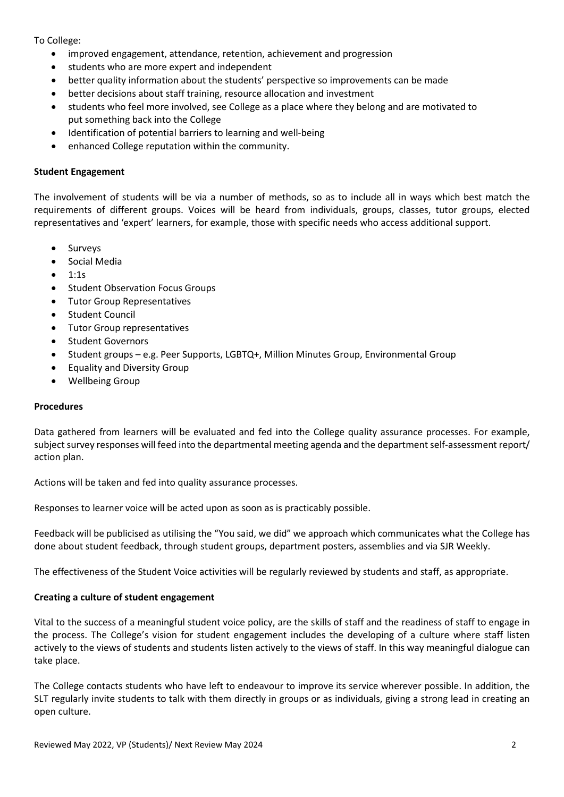To College:

- improved engagement, attendance, retention, achievement and progression
- students who are more expert and independent
- better quality information about the students' perspective so improvements can be made
- better decisions about staff training, resource allocation and investment
- students who feel more involved, see College as a place where they belong and are motivated to put something back into the College
- Identification of potential barriers to learning and well-being
- enhanced College reputation within the community.

#### **Student Engagement**

The involvement of students will be via a number of methods, so as to include all in ways which best match the requirements of different groups. Voices will be heard from individuals, groups, classes, tutor groups, elected representatives and 'expert' learners, for example, those with specific needs who access additional support.

- **Surveys**
- Social Media
- 1:1s
- Student Observation Focus Groups
- Tutor Group Representatives
- Student Council
- Tutor Group representatives
- Student Governors
- Student groups e.g. Peer Supports, LGBTQ+, Million Minutes Group, Environmental Group
- Equality and Diversity Group
- Wellbeing Group

#### **Procedures**

Data gathered from learners will be evaluated and fed into the College quality assurance processes. For example, subject survey responses will feed into the departmental meeting agenda and the department self-assessment report/ action plan.

Actions will be taken and fed into quality assurance processes.

Responses to learner voice will be acted upon as soon as is practicably possible.

Feedback will be publicised as utilising the "You said, we did" we approach which communicates what the College has done about student feedback, through student groups, department posters, assemblies and via SJR Weekly.

The effectiveness of the Student Voice activities will be regularly reviewed by students and staff, as appropriate.

#### **Creating a culture of student engagement**

Vital to the success of a meaningful student voice policy, are the skills of staff and the readiness of staff to engage in the process. The College's vision for student engagement includes the developing of a culture where staff listen actively to the views of students and students listen actively to the views of staff. In this way meaningful dialogue can take place.

The College contacts students who have left to endeavour to improve its service wherever possible. In addition, the SLT regularly invite students to talk with them directly in groups or as individuals, giving a strong lead in creating an open culture.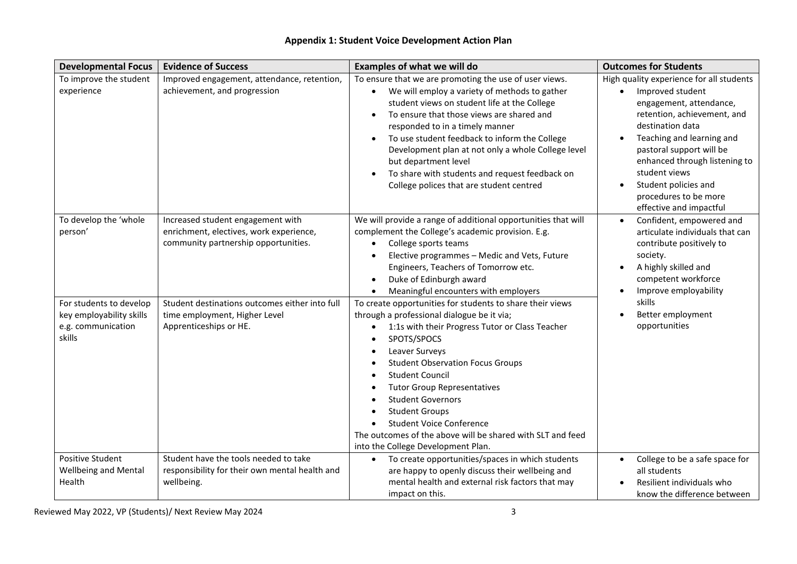| <b>Developmental Focus</b>                                                                                              | <b>Evidence of Success</b>                                                                                                                                                                                                        | <b>Examples of what we will do</b>                                                                                                                                                                                                                                                                                                                                                                                                                                                                                                                                                                                                                                                                                                                                                                          | <b>Outcomes for Students</b>                                                                                                                                                                                                                                                                                                                   |
|-------------------------------------------------------------------------------------------------------------------------|-----------------------------------------------------------------------------------------------------------------------------------------------------------------------------------------------------------------------------------|-------------------------------------------------------------------------------------------------------------------------------------------------------------------------------------------------------------------------------------------------------------------------------------------------------------------------------------------------------------------------------------------------------------------------------------------------------------------------------------------------------------------------------------------------------------------------------------------------------------------------------------------------------------------------------------------------------------------------------------------------------------------------------------------------------------|------------------------------------------------------------------------------------------------------------------------------------------------------------------------------------------------------------------------------------------------------------------------------------------------------------------------------------------------|
| To improve the student<br>experience                                                                                    | Improved engagement, attendance, retention,<br>achievement, and progression                                                                                                                                                       | To ensure that we are promoting the use of user views.<br>We will employ a variety of methods to gather<br>$\bullet$<br>student views on student life at the College<br>To ensure that those views are shared and<br>responded to in a timely manner<br>To use student feedback to inform the College<br>Development plan at not only a whole College level<br>but department level<br>To share with students and request feedback on<br>College polices that are student centred                                                                                                                                                                                                                                                                                                                           | High quality experience for all students<br>Improved student<br>$\bullet$<br>engagement, attendance,<br>retention, achievement, and<br>destination data<br>Teaching and learning and<br>pastoral support will be<br>enhanced through listening to<br>student views<br>Student policies and<br>procedures to be more<br>effective and impactful |
| To develop the 'whole<br>person'<br>For students to develop<br>key employability skills<br>e.g. communication<br>skills | Increased student engagement with<br>enrichment, electives, work experience,<br>community partnership opportunities.<br>Student destinations outcomes either into full<br>time employment, Higher Level<br>Apprenticeships or HE. | We will provide a range of additional opportunities that will<br>complement the College's academic provision. E.g.<br>College sports teams<br>Elective programmes - Medic and Vets, Future<br>Engineers, Teachers of Tomorrow etc.<br>Duke of Edinburgh award<br>Meaningful encounters with employers<br>To create opportunities for students to share their views<br>through a professional dialogue be it via;<br>1:1s with their Progress Tutor or Class Teacher<br>SPOTS/SPOCS<br>Leaver Surveys<br><b>Student Observation Focus Groups</b><br><b>Student Council</b><br><b>Tutor Group Representatives</b><br><b>Student Governors</b><br><b>Student Groups</b><br><b>Student Voice Conference</b><br>The outcomes of the above will be shared with SLT and feed<br>into the College Development Plan. | Confident, empowered and<br>$\bullet$<br>articulate individuals that can<br>contribute positively to<br>society.<br>A highly skilled and<br>competent workforce<br>Improve employability<br>skills<br>Better employment<br>opportunities                                                                                                       |
| <b>Positive Student</b><br><b>Wellbeing and Mental</b><br>Health                                                        | Student have the tools needed to take<br>responsibility for their own mental health and<br>wellbeing.                                                                                                                             | To create opportunities/spaces in which students<br>$\bullet$<br>are happy to openly discuss their wellbeing and<br>mental health and external risk factors that may<br>impact on this.                                                                                                                                                                                                                                                                                                                                                                                                                                                                                                                                                                                                                     | College to be a safe space for<br>all students<br>Resilient individuals who<br>know the difference between                                                                                                                                                                                                                                     |